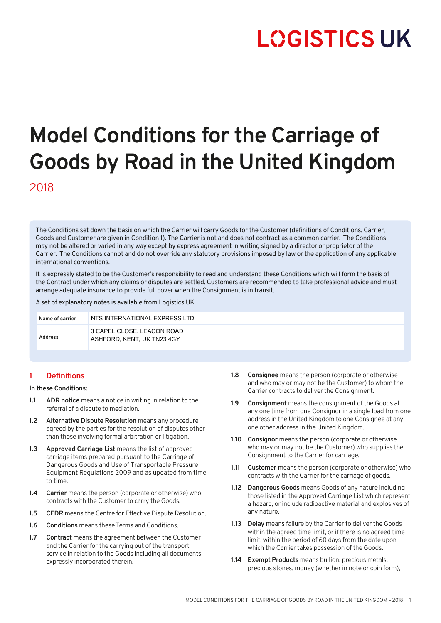# **LOGISTICS UK**

# **Model Conditions for the Carriage of Goods by Road in the United Kingdom** 2018

The Conditions set down the basis on which the Carrier will carry Goods for the Customer (definitions of Conditions, Carrier, Goods and Customer are given in Condition 1). The Carrier is not and does not contract as a common carrier. The Conditions may not be altered or varied in any way except by express agreement in writing signed by a director or proprietor of the Carrier. The Conditions cannot and do not override any statutory provisions imposed by law or the application of any applicable international conventions.

It is expressly stated to be the Customer's responsibility to read and understand these Conditions which will form the basis of the Contract under which any claims or disputes are settled. Customers are recommended to take professional advice and must arrange adequate insurance to provide full cover when the Consignment is in transit.

A set of explanatory notes is available from Logistics UK.

| Name of carrier | NTS INTERNATIONAL EXPRESS LTD                            |
|-----------------|----------------------------------------------------------|
| Address         | 3 CAPEL CLOSE, LEACON ROAD<br>ASHFORD, KENT, UK TN23 4GY |

# **1 Definitions**

#### **In these Conditions:**

- **1.1 ADR notice** means a notice in writing in relation to the referral of a dispute to mediation.
- **1.2 Alternative Dispute Resolution** means any procedure agreed by the parties for the resolution of disputes other than those involving formal arbitration or litigation.
- **1.3 Approved Carriage List** means the list of approved carriage items prepared pursuant to the Carriage of Dangerous Goods and Use of Transportable Pressure Equipment Regulations 2009 and as updated from time to time.
- **1.4 Carrier** means the person (corporate or otherwise) who contracts with the Customer to carry the Goods.
- **1.5 CEDR** means the Centre for Effective Dispute Resolution.
- **1.6 Conditions** means these Terms and Conditions.
- **1.7 Contract** means the agreement between the Customer and the Carrier for the carrying out of the transport service in relation to the Goods including all documents expressly incorporated therein.
- **1.8 Consignee** means the person (corporate or otherwise and who may or may not be the Customer) to whom the Carrier contracts to deliver the Consignment.
- **1.9 Consignment** means the consignment of the Goods at any one time from one Consignor in a single load from one address in the United Kingdom to one Consignee at any one other address in the United Kingdom.
- **1.10 Consignor** means the person (corporate or otherwise who may or may not be the Customer) who supplies the Consignment to the Carrier for carriage.
- **1.11 Customer** means the person (corporate or otherwise) who contracts with the Carrier for the carriage of goods.
- **1.12 Dangerous Goods** means Goods of any nature including those listed in the Approved Carriage List which represent a hazard, or include radioactive material and explosives of any nature.
- **1.13 Delay** means failure by the Carrier to deliver the Goods within the agreed time limit, or if there is no agreed time limit, within the period of 60 days from the date upon which the Carrier takes possession of the Goods.
- **1.14 Exempt Products** means bullion, precious metals, precious stones, money (whether in note or coin form),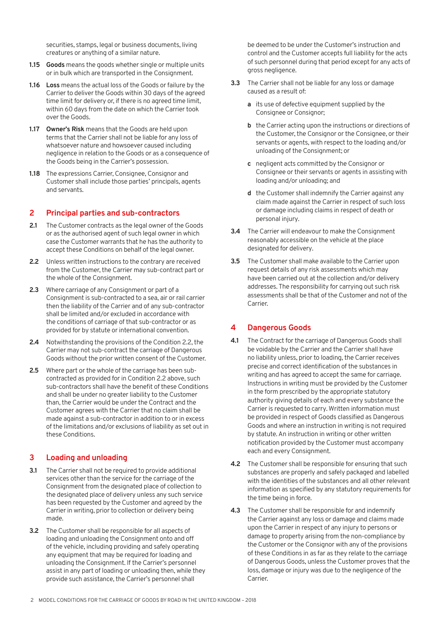securities, stamps, legal or business documents, living creatures or anything of a similar nature.

- **1.15 Goods** means the goods whether single or multiple units or in bulk which are transported in the Consignment.
- **1.16 Loss** means the actual loss of the Goods or failure by the Carrier to deliver the Goods within 30 days of the agreed time limit for delivery or, if there is no agreed time limit, within 60 days from the date on which the Carrier took over the Goods.
- **1.17 Owner's Risk** means that the Goods are held upon terms that the Carrier shall not be liable for any loss of whatsoever nature and howsoever caused including negligence in relation to the Goods or as a consequence of the Goods being in the Carrier's possession.
- **1.18** The expressions Carrier, Consignee, Consignor and Customer shall include those parties' principals, agents and servants.

## **2 Principal parties and sub-contractors**

- **2.1** The Customer contracts as the legal owner of the Goods or as the authorised agent of such legal owner in which case the Customer warrants that he has the authority to accept these Conditions on behalf of the legal owner.
- **2.2** Unless written instructions to the contrary are received from the Customer, the Carrier may sub-contract part or the whole of the Consignment.
- **2.3** Where carriage of any Consignment or part of a Consignment is sub-contracted to a sea, air or rail carrier then the liability of the Carrier and of any sub-contractor shall be limited and/or excluded in accordance with the conditions of carriage of that sub-contractor or as provided for by statute or international convention.
- **2.4** Notwithstanding the provisions of the Condition 2.2, the Carrier may not sub-contract the carriage of Dangerous Goods without the prior written consent of the Customer.
- **2.5** Where part or the whole of the carriage has been subcontracted as provided for in Condition 2.2 above, such sub-contractors shall have the benefit of these Conditions and shall be under no greater liability to the Customer than, the Carrier would be under the Contract and the Customer agrees with the Carrier that no claim shall be made against a sub-contractor in addition to or in excess of the limitations and/or exclusions of liability as set out in these Conditions.

# **3 Loading and unloading**

- **3.1** The Carrier shall not be required to provide additional services other than the service for the carriage of the Consignment from the designated place of collection to the designated place of delivery unless any such service has been requested by the Customer and agreed by the Carrier in writing, prior to collection or delivery being made.
- **3.2** The Customer shall be responsible for all aspects of loading and unloading the Consignment onto and off of the vehicle, including providing and safely operating any equipment that may be required for loading and unloading the Consignment. If the Carrier's personnel assist in any part of loading or unloading then, while they provide such assistance, the Carrier's personnel shall

be deemed to be under the Customer's instruction and control and the Customer accepts full liability for the acts of such personnel during that period except for any acts of gross negligence.

- **3.3** The Carrier shall not be liable for any loss or damage caused as a result of:
	- **a** its use of defective equipment supplied by the Consignee or Consignor;
	- **b** the Carrier acting upon the instructions or directions of the Customer, the Consignor or the Consignee, or their servants or agents, with respect to the loading and/or unloading of the Consignment; or
	- **c** negligent acts committed by the Consignor or Consignee or their servants or agents in assisting with loading and/or unloading; and
	- **d** the Customer shall indemnify the Carrier against any claim made against the Carrier in respect of such loss or damage including claims in respect of death or personal injury.
- **3.4** The Carrier will endeavour to make the Consignment reasonably accessible on the vehicle at the place designated for delivery.
- **3.5** The Customer shall make available to the Carrier upon request details of any risk assessments which may have been carried out at the collection and/or delivery addresses. The responsibility for carrying out such risk assessments shall be that of the Customer and not of the Carrier.

# **4 Dangerous Goods**

- **4.1** The Contract for the carriage of Dangerous Goods shall be voidable by the Carrier and the Carrier shall have no liability unless, prior to loading, the Carrier receives precise and correct identification of the substances in writing and has agreed to accept the same for carriage. Instructions in writing must be provided by the Customer in the form prescribed by the appropriate statutory authority giving details of each and every substance the Carrier is requested to carry. Written information must be provided in respect of Goods classified as Dangerous Goods and where an instruction in writing is not required by statute. An instruction in writing or other written notification provided by the Customer must accompany each and every Consignment.
- **4.2** The Customer shall be responsible for ensuring that such substances are properly and safely packaged and labelled with the identities of the substances and all other relevant information as specified by any statutory requirements for the time being in force.
- **4.3** The Customer shall be responsible for and indemnify the Carrier against any loss or damage and claims made upon the Carrier in respect of any injury to persons or damage to property arising from the non-compliance by the Customer or the Consignor with any of the provisions of these Conditions in as far as they relate to the carriage of Dangerous Goods, unless the Customer proves that the loss, damage or injury was due to the negligence of the Carrier.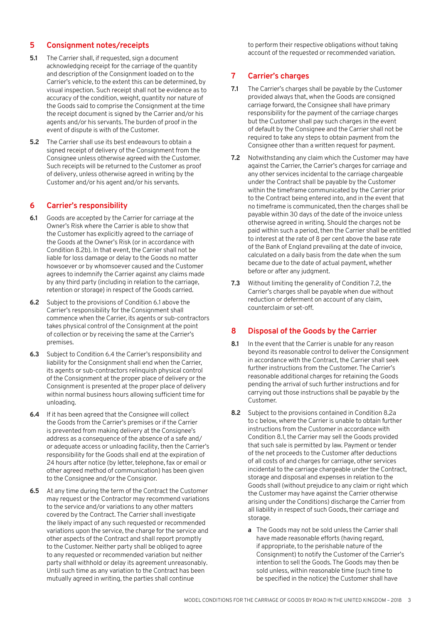# **5 Consignment notes/receipts**

- **5.1** The Carrier shall, if requested, sign a document acknowledging receipt for the carriage of the quantity and description of the Consignment loaded on to the Carrier's vehicle, to the extent this can be determined, by visual inspection. Such receipt shall not be evidence as to accuracy of the condition, weight, quantity nor nature of the Goods said to comprise the Consignment at the time the receipt document is signed by the Carrier and/or his agents and/or his servants. The burden of proof in the event of dispute is with of the Customer.
- **5.2** The Carrier shall use its best endeavours to obtain a signed receipt of delivery of the Consignment from the Consignee unless otherwise agreed with the Customer. Such receipts will be returned to the Customer as proof of delivery, unless otherwise agreed in writing by the Customer and/or his agent and/or his servants.

## **6 Carrier's responsibility**

- **6.1** Goods are accepted by the Carrier for carriage at the Owner's Risk where the Carrier is able to show that the Customer has explicitly agreed to the carriage of the Goods at the Owner's Risk (or in accordance with Condition 8.2b). In that event, the Carrier shall not be liable for loss damage or delay to the Goods no matter howsoever or by whomsoever caused and the Customer agrees to indemnify the Carrier against any claims made by any third party (including in relation to the carriage, retention or storage) in respect of the Goods carried.
- **6.2** Subject to the provisions of Condition 6.1 above the Carrier's responsibility for the Consignment shall commence when the Carrier, its agents or sub-contractors takes physical control of the Consignment at the point of collection or by receiving the same at the Carrier's premises.
- **6.3** Subject to Condition 6.4 the Carrier's responsibility and liability for the Consignment shall end when the Carrier, its agents or sub-contractors relinquish physical control of the Consignment at the proper place of delivery or the Consignment is presented at the proper place of delivery within normal business hours allowing sufficient time for unloading.
- **6.4** If it has been agreed that the Consignee will collect the Goods from the Carrier's premises or if the Carrier is prevented from making delivery at the Consignee's address as a consequence of the absence of a safe and/ or adequate access or unloading facility, then the Carrier's responsibility for the Goods shall end at the expiration of 24 hours after notice (by letter, telephone, fax or email or other agreed method of communication) has been given to the Consignee and/or the Consignor.
- **6.5** At any time during the term of the Contract the Customer may request or the Contractor may recommend variations to the service and/or variations to any other matters covered by the Contract. The Carrier shall investigate the likely impact of any such requested or recommended variations upon the service, the charge for the service and other aspects of the Contract and shall report promptly to the Customer. Neither party shall be obliged to agree to any requested or recommended variation but neither party shall withhold or delay its agreement unreasonably. Until such time as any variation to the Contract has been mutually agreed in writing, the parties shall continue

to perform their respective obligations without taking account of the requested or recommended variation.

# **7 Carrier's charges**

- **7.1** The Carrier's charges shall be payable by the Customer provided always that, when the Goods are consigned carriage forward, the Consignee shall have primary responsibility for the payment of the carriage charges but the Customer shall pay such charges in the event of default by the Consignee and the Carrier shall not be required to take any steps to obtain payment from the Consignee other than a written request for payment.
- **7.2** Notwithstanding any claim which the Customer may have against the Carrier, the Carrier's charges for carriage and any other services incidental to the carriage chargeable under the Contract shall be payable by the Customer within the timeframe communicated by the Carrier prior to the Contract being entered into, and in the event that no timeframe is communicated, then the charges shall be payable within 30 days of the date of the invoice unless otherwise agreed in writing. Should the charges not be paid within such a period, then the Carrier shall be entitled to interest at the rate of 8 per cent above the base rate of the Bank of England prevailing at the date of invoice, calculated on a daily basis from the date when the sum became due to the date of actual payment, whether before or after any judgment.
- **7.3** Without limiting the generality of Condition 7.2, the Carrier's charges shall be payable when due without reduction or deferment on account of any claim, counterclaim or set-off.

#### **8 Disposal of the Goods by the Carrier**

- **8.1** In the event that the Carrier is unable for any reason beyond its reasonable control to deliver the Consignment in accordance with the Contract, the Carrier shall seek further instructions from the Customer. The Carrier's reasonable additional charges for retaining the Goods pending the arrival of such further instructions and for carrying out those instructions shall be payable by the Customer.
- **8.2** Subject to the provisions contained in Condition 8.2a to c below, where the Carrier is unable to obtain further instructions from the Customer in accordance with Condition 8.1, the Carrier may sell the Goods provided that such sale is permitted by law. Payment or tender of the net proceeds to the Customer after deductions of all costs of and charges for carriage, other services incidental to the carriage chargeable under the Contract, storage and disposal and expenses in relation to the Goods shall (without prejudice to any claim or right which the Customer may have against the Carrier otherwise arising under the Conditions) discharge the Carrier from all liability in respect of such Goods, their carriage and storage.
	- **a** The Goods may not be sold unless the Carrier shall have made reasonable efforts (having regard, if appropriate, to the perishable nature of the Consignment) to notify the Customer of the Carrier's intention to sell the Goods. The Goods may then be sold unless, within reasonable time (such time to be specified in the notice) the Customer shall have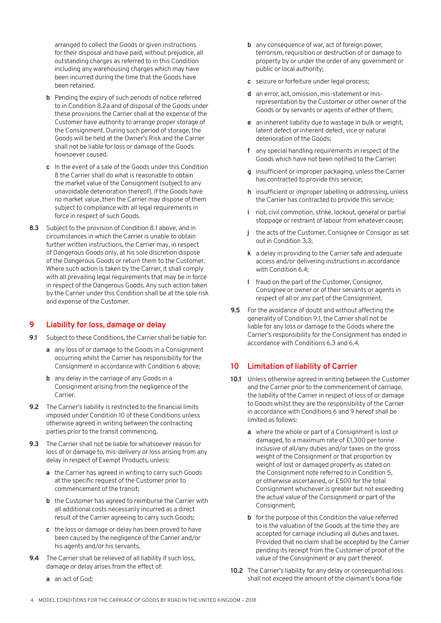arranged to collect the Goods or given instructions for their disposal and have paid, without prejudice, all outstanding charges as referred to in this Condition including any warehousing charges which may have been incurred during the time that the Goods have been retained.

- **b** Pending the expiry of such periods of notice referred to in Condition 8.2a and of disposal of the Goods under these provisions the Carrier shall at the expense of the Customer have authority to arrange proper storage of the Consignment. During such period of storage, the Goods will be held at the Owner's Risk and the Carrier shall not be liable for loss or damage of the Goods howsoever caused.
- **c** In the event of a sale of the Goods under this Condition 8 the Carrier shall do what is reasonable to obtain the market value of the Consignment (subject to any unavoidable deterioration thereof). If the Goods have no market value, then the Carrier may dispose of them subject to compliance with all legal requirements in force in respect of such Goods.
- **8.3** Subject to the provision of Condition 8.1 above, and in circumstances in which the Carrier is unable to obtain further written instructions, the Carrier may, in respect of Dangerous Goods only, at his sole discretion dispose of the Dangerous Goods or return them to the Customer. Where such action is taken by the Carrier, it shall comply with all prevailing legal requirements that may be in force in respect of the Dangerous Goods. Any such action taken by the Carrier under this Condition shall be at the sole risk and expense of the Customer.

#### **9 Liability for loss, damage or delay**

- **9.1** Subject to these Conditions, the Carrier shall be liable for:
	- **a** any loss of or damage to the Goods in a Consignment occurring whilst the Carrier has responsibility for the Consignment in accordance with Condition 6 above;
	- **b** any delay in the carriage of any Goods in a Consignment arising from the negligence of the **Carrier**
- **9.2** The Carrier's liability is restricted to the financial limits imposed under Condition 10 of these Conditions unless otherwise agreed in writing between the contracting parties prior to the transit commencing.
- **9.3** The Carrier shall not be liable for whatsoever reason for loss of or damage to, mis-delivery or loss arising from any delay in respect of Exempt Products, unless:
	- **a** the Carrier has agreed in writing to carry such Goods at the specific request of the Customer prior to commencement of the transit;
	- **b** the Customer has agreed to reimburse the Carrier with all additional costs necessarily incurred as a direct result of the Carrier agreeing to carry such Goods;
	- **c** the loss or damage or delay has been proved to have been caused by the negligence of the Carrier and/or his agents and/or his servants.
- **9.4** The Carrier shall be relieved of all liability if such loss, damage or delay arises from the effect of:
- **b** any consequence of war, act of foreign power, terrorism, requisition or destruction of or damage to property by or under the order of any government or public or local authority;
- **c** seizure or forfeiture under legal process;
- **d** an error, act, omission, mis-statement or misrepresentation by the Customer or other owner of the Goods or by servants or agents of either of them;
- **e** an inherent liability due to wastage in bulk or weight, latent defect or inherent defect, vice or natural deterioration of the Goods;
- **f** any special handling requirements in respect of the Goods which have not been notified to the Carrier;
- **g** insufficient or improper packaging, unless the Carrier has contracted to provide this service;
- **h** insufficient or improper labelling or addressing, unless the Carrier has contracted to provide this service;
- **i** riot, civil commotion, strike, lockout, general or partial stoppage or restraint of labour from whatever cause;
- **j** the acts of the Customer, Consignee or Consigor as set out in Condition 3.3;
- **k** a delay in providing to the Carrier safe and adequate access and/or delivering instructions in accordance with Condition 6.4;
- **l** fraud on the part of the Customer, Consignor, Consignee or owner or of their servants or agents in respect of all or any part of the Consignment.
- **9.5** For the avoidance of doubt and without affecting the generality of Condition 9.1, the Carrier shall not be liable for any loss or damage to the Goods where the Carrier's responsibility for the Consignment has ended in accordance with Conditions 6.3 and 6.4.

# **10 Limitation of liability of Carrier**

- **10.1** Unless otherwise agreed in writing between the Customer and the Carrier prior to the commencement of carriage, the liability of the Carrier in respect of loss of or damage to Goods whilst they are the responsibility of the Carrier in accordance with Conditions 6 and 9 hereof shall be limited as follows:
	- **a** where the whole or part of a Consignment is lost or damaged, to a maximum rate of £1,300 per tonne inclusive of all/any duties and/or taxes on the gross weight of the Consignment or that proportion by weight of lost or damaged property as stated on the Consignment note referred to in Condition 5, or otherwise ascertained, or £500 for the total Consignment whichever is greater but not exceeding the actual value of the Consignment or part of the Consignment;
	- **b** for the purpose of this Condition the value referred to is the valuation of the Goods at the time they are accepted for carriage including all duties and taxes. Provided that no claim shall be accepted by the Carrier pending its receipt from the Customer of proof of the value of the Consignment or any part thereof.
- **10.2** The Carrier's liability for any delay or consequential loss shall not exceed the amount of the claimant's bona fide

**a** an act of God;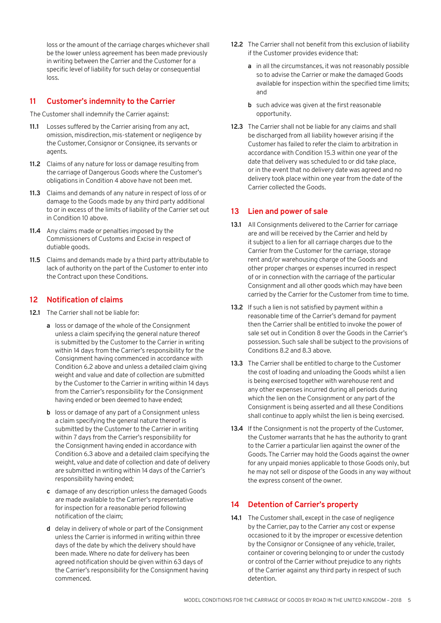loss or the amount of the carriage charges whichever shall be the lower unless agreement has been made previously in writing between the Carrier and the Customer for a specific level of liability for such delay or consequential loss.

# **11 Customer's indemnity to the Carrier**

The Customer shall indemnify the Carrier against:

- **11.1** Losses suffered by the Carrier arising from any act, omission, misdirection, mis-statement or negligence by the Customer, Consignor or Consignee, its servants or agents.
- **11.2** Claims of any nature for loss or damage resulting from the carriage of Dangerous Goods where the Customer's obligations in Condition 4 above have not been met.
- **11.3** Claims and demands of any nature in respect of loss of or damage to the Goods made by any third party additional to or in excess of the limits of liability of the Carrier set out in Condition 10 above.
- **11.4** Any claims made or penalties imposed by the Commissioners of Customs and Excise in respect of dutiable goods.
- **11.5** Claims and demands made by a third party attributable to lack of authority on the part of the Customer to enter into the Contract upon these Conditions.

# **12 Notification of claims**

- **12.1** The Carrier shall not be liable for:
	- **a** loss or damage of the whole of the Consignment unless a claim specifying the general nature thereof is submitted by the Customer to the Carrier in writing within 14 days from the Carrier's responsibility for the Consignment having commenced in accordance with Condition 6.2 above and unless a detailed claim giving weight and value and date of collection are submitted by the Customer to the Carrier in writing within 14 days from the Carrier's responsibility for the Consignment having ended or been deemed to have ended;
	- **b** loss or damage of any part of a Consignment unless a claim specifying the general nature thereof is submitted by the Customer to the Carrier in writing within 7 days from the Carrier's responsibility for the Consignment having ended in accordance with Condition 6.3 above and a detailed claim specifying the weight, value and date of collection and date of delivery are submitted in writing within 14 days of the Carrier's responsibility having ended;
	- **c** damage of any description unless the damaged Goods are made available to the Carrier's representative for inspection for a reasonable period following notification of the claim;
	- **d** delay in delivery of whole or part of the Consignment unless the Carrier is informed in writing within three days of the date by which the delivery should have been made. Where no date for delivery has been agreed notification should be given within 63 days of the Carrier's responsibility for the Consignment having commenced.
- 12.2 The Carrier shall not benefit from this exclusion of liability if the Customer provides evidence that:
	- **a** in all the circumstances, it was not reasonably possible so to advise the Carrier or make the damaged Goods available for inspection within the specified time limits; and
	- **b** such advice was given at the first reasonable opportunity.
- **12.3** The Carrier shall not be liable for any claims and shall be discharged from all liability however arising if the Customer has failed to refer the claim to arbitration in accordance with Condition 15.3 within one year of the date that delivery was scheduled to or did take place, or in the event that no delivery date was agreed and no delivery took place within one year from the date of the Carrier collected the Goods.

# **13 Lien and power of sale**

- **13.1** All Consignments delivered to the Carrier for carriage are and will be received by the Carrier and held by it subject to a lien for all carriage charges due to the Carrier from the Customer for the carriage, storage rent and/or warehousing charge of the Goods and other proper charges or expenses incurred in respect of or in connection with the carriage of the particular Consignment and all other goods which may have been carried by the Carrier for the Customer from time to time.
- **13.2** If such a lien is not satisfied by payment within a reasonable time of the Carrier's demand for payment then the Carrier shall be entitled to invoke the power of sale set out in Condition 8 over the Goods in the Carrier's possession. Such sale shall be subject to the provisions of Conditions 8.2 and 8.3 above.
- **13.3** The Carrier shall be entitled to charge to the Customer the cost of loading and unloading the Goods whilst a lien is being exercised together with warehouse rent and any other expenses incurred during all periods during which the lien on the Consignment or any part of the Consignment is being asserted and all these Conditions shall continue to apply whilst the lien is being exercised.
- 13.4 If the Consignment is not the property of the Customer. the Customer warrants that he has the authority to grant to the Carrier a particular lien against the owner of the Goods. The Carrier may hold the Goods against the owner for any unpaid monies applicable to those Goods only, but he may not sell or dispose of the Goods in any way without the express consent of the owner.

# **14 Detention of Carrier's property**

**14.1** The Customer shall, except in the case of negligence by the Carrier, pay to the Carrier any cost or expense occasioned to it by the improper or excessive detention by the Consignor or Consignee of any vehicle, trailer, container or covering belonging to or under the custody or control of the Carrier without prejudice to any rights of the Carrier against any third party in respect of such detention.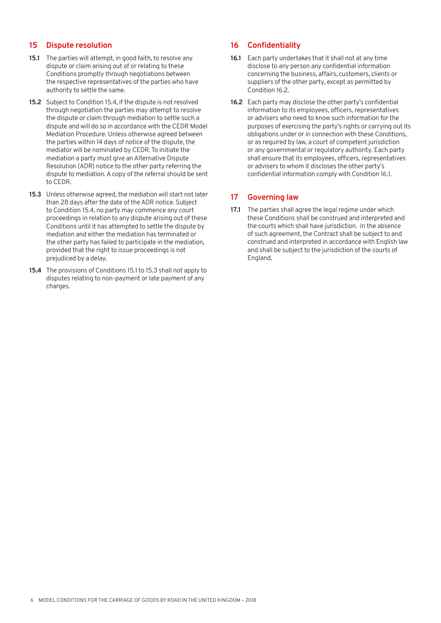## **15 Dispute resolution**

- **15.1** The parties will attempt, in good faith, to resolve any dispute or claim arising out of or relating to these Conditions promptly through negotiations between the respective representatives of the parties who have authority to settle the same.
- **15.2** Subject to Condition 15.4, if the dispute is not resolved through negotiation the parties may attempt to resolve the dispute or claim through mediation to settle such a dispute and will do so in accordance with the CEDR Model Mediation Procedure. Unless otherwise agreed between the parties within 14 days of notice of the dispute, the mediator will be nominated by CEDR. To initiate the mediation a party must give an Alternative Dispute Resolution (ADR) notice to the other party referring the dispute to mediation. A copy of the referral should be sent to CEDR.
- **15.3** Unless otherwise agreed, the mediation will start not later than 28 days after the date of the ADR notice. Subject to Condition 15.4, no party may commence any court proceedings in relation to any dispute arising out of these Conditions until it has attempted to settle the dispute by mediation and either the mediation has terminated or the other party has failed to participate in the mediation, provided that the right to issue proceedings is not prejudiced by a delay.
- **15.4** The provisions of Conditions 15.1 to 15.3 shall not apply to disputes relating to non-payment or late payment of any charges.

#### **16 Confidentiality**

- **16.1** Each party undertakes that it shall not at any time disclose to any person any confidential information concerning the business, affairs, customers, clients or suppliers of the other party, except as permitted by Condition 16.2.
- **16.2** Each party may disclose the other party's confidential information to its employees, officers, representatives or advisers who need to know such information for the purposes of exercising the party's rights or carrying out its obligations under or in connection with these Conditions, or as required by law, a court of competent jurisdiction or any governmental or regulatory authority. Each party shall ensure that its employees, officers, representatives or advisers to whom it discloses the other party's confidential information comply with Condition 16.1.

# **17 Governing law**

**17.1** The parties shall agree the legal regime under which these Conditions shall be construed and interpreted and the courts which shall have jurisdiction. In the absence of such agreement, the Contract shall be subject to and construed and interpreted in accordance with English law and shall be subject to the jurisdiction of the courts of England.